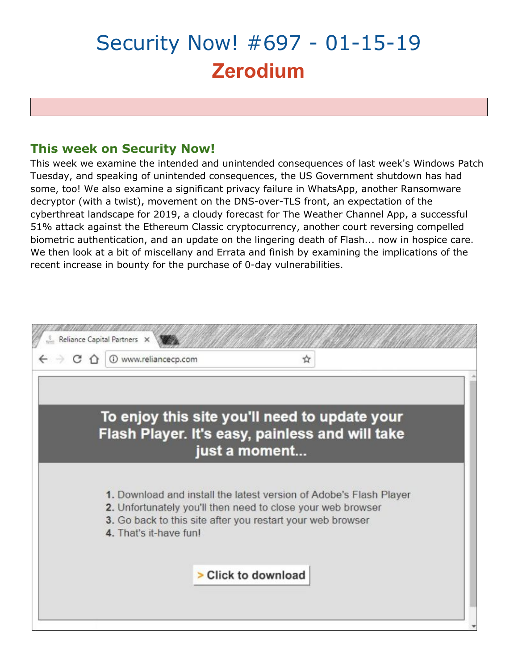# Security Now! #697 - 01-15-19 **Zerodium**

# **This week on Security Now!**

This week we examine the intended and unintended consequences of last week's Windows Patch Tuesday, and speaking of unintended consequences, the US Government shutdown has had some, too! We also examine a significant privacy failure in WhatsApp, another Ransomware decryptor (with a twist), movement on the DNS-over-TLS front, an expectation of the cyberthreat landscape for 2019, a cloudy forecast for The Weather Channel App, a successful 51% attack against the Ethereum Classic cryptocurrency, another court reversing compelled biometric authentication, and an update on the lingering death of Flash... now in hospice care. We then look at a bit of miscellany and Errata and finish by examining the implications of the recent increase in bounty for the purchase of 0-day vulnerabilities.

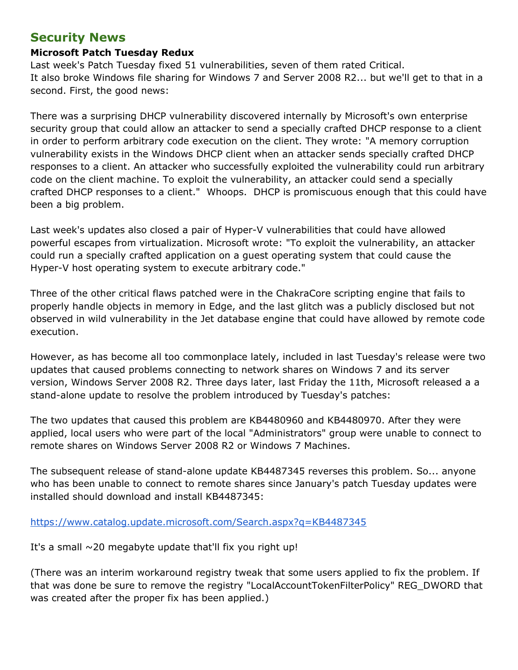# **Security News**

### **Microsoft Patch Tuesday Redux**

Last week's Patch Tuesday fixed 51 vulnerabilities, seven of them rated Critical. It also broke Windows file sharing for Windows 7 and Server 2008 R2... but we'll get to that in a second. First, the good news:

There was a surprising DHCP vulnerability discovered internally by Microsoft's own enterprise security group that could allow an attacker to send a specially crafted DHCP response to a client in order to perform arbitrary code execution on the client. They wrote: "A memory corruption vulnerability exists in the Windows DHCP client when an attacker sends specially crafted DHCP responses to a client. An attacker who successfully exploited the vulnerability could run arbitrary code on the client machine. To exploit the vulnerability, an attacker could send a specially crafted DHCP responses to a client." Whoops. DHCP is promiscuous enough that this could have been a big problem.

Last week's updates also closed a pair of Hyper-V vulnerabilities that could have allowed powerful escapes from virtualization. Microsoft wrote: "To exploit the vulnerability, an attacker could run a specially crafted application on a guest operating system that could cause the Hyper-V host operating system to execute arbitrary code."

Three of the other critical flaws patched were in the ChakraCore scripting engine that fails to properly handle objects in memory in Edge, and the last glitch was a publicly disclosed but not observed in wild vulnerability in the Jet database engine that could have allowed by remote code execution.

However, as has become all too commonplace lately, included in last Tuesday's release were two updates that caused problems connecting to network shares on Windows 7 and its server version, Windows Server 2008 R2. Three days later, last Friday the 11th, Microsoft released a a stand-alone update to resolve the problem introduced by Tuesday's patches:

The two updates that caused this problem are KB4480960 and KB4480970. After they were applied, local users who were part of the local "Administrators" group were unable to connect to remote shares on Windows Server 2008 R2 or Windows 7 Machines.

The subsequent release of stand-alone update KB4487345 reverses this problem. So... anyone who has been unable to connect to remote shares since January's patch Tuesday updates were installed should download and install KB4487345:

<https://www.catalog.update.microsoft.com/Search.aspx?q=KB4487345>

It's a small  $\sim$ 20 megabyte update that'll fix you right up!

(There was an interim workaround registry tweak that some users applied to fix the problem. If that was done be sure to remove the registry "LocalAccountTokenFilterPolicy" REG\_DWORD that was created after the proper fix has been applied.)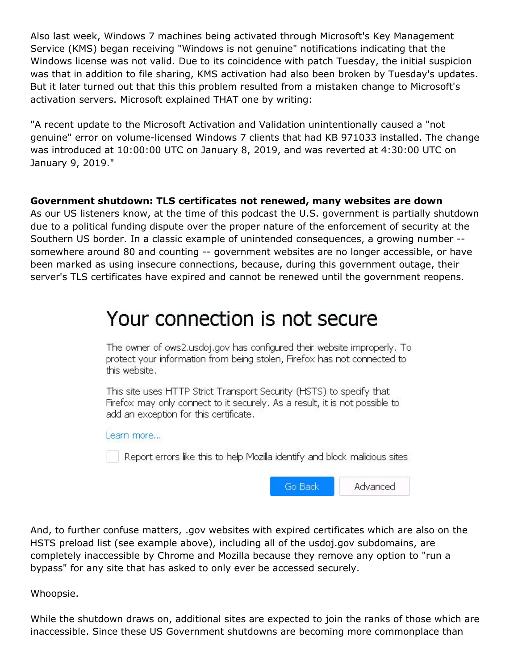Also last week, Windows 7 machines being activated through Microsoft's Key Management Service (KMS) began receiving "Windows is not genuine" notifications indicating that the Windows license was not valid. Due to its coincidence with patch Tuesday, the initial suspicion was that in addition to file sharing, KMS activation had also been broken by Tuesday's updates. But it later turned out that this this problem resulted from a mistaken change to Microsoft's activation servers. Microsoft explained THAT one by writing:

"A recent update to the Microsoft Activation and Validation unintentionally caused a "not genuine" error on volume-licensed Windows 7 clients that had KB 971033 installed. The change was introduced at 10:00:00 UTC on January 8, 2019, and was reverted at 4:30:00 UTC on January 9, 2019."

### **Government shutdown: TLS certificates not renewed, many websites are down**

As our US listeners know, at the time of this podcast the U.S. government is partially shutdown due to a political funding dispute over the proper nature of the enforcement of security at the Southern US border. In a classic example of unintended consequences, a growing number - somewhere around 80 and counting -- government websites are no longer accessible, or have been marked as using insecure connections, because, during this government outage, their server's TLS certificates have expired and cannot be renewed until the government reopens.

# Your connection is not secure

The owner of ows2.usdoj.gov has configured their website improperly. To protect your information from being stolen, Firefox has not connected to this website.

This site uses HTTP Strict Transport Security (HSTS) to specify that Firefox may only connect to it securely. As a result, it is not possible to add an exception for this certificate.

Learn more...

Report errors like this to help Mozilla identify and block malicious sites

| Go Back | Advanced |
|---------|----------|
|---------|----------|

And, to further confuse matters, .gov websites with expired certificates which are also on the HSTS preload list (see example above), including all of the usdoj.gov subdomains, are completely inaccessible by Chrome and Mozilla because they remove any option to "run a bypass" for any site that has asked to only ever be accessed securely.

Whoopsie.

While the shutdown draws on, additional sites are expected to join the ranks of those which are inaccessible. Since these US Government shutdowns are becoming more commonplace than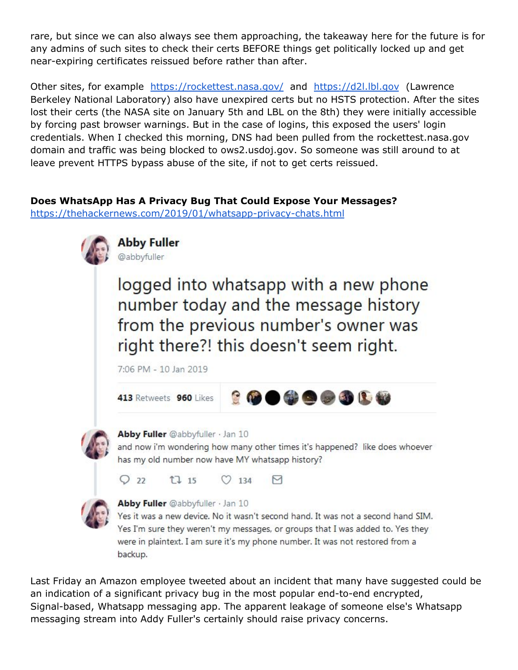rare, but since we can also always see them approaching, the takeaway here for the future is for any admins of such sites to check their certs BEFORE things get politically locked up and get near-expiring certificates reissued before rather than after.

Other sites, for example <https://rockettest.nasa.gov/> and [https://d2l.lbl.gov](https://d2l.lbl.gov/) (Lawrence Berkeley National Laboratory) also have unexpired certs but no HSTS protection. After the sites lost their certs (the NASA site on January 5th and LBL on the 8th) they were initially accessible by forcing past browser warnings. But in the case of logins, this exposed the users' login credentials. When I checked this morning, DNS had been pulled from the rockettest.nasa.gov domain and traffic was being blocked to ows2.usdoj.gov. So someone was still around to at leave prevent HTTPS bypass abuse of the site, if not to get certs reissued.

### **Does WhatsApp Has A Privacy Bug That Could Expose Your Messages?**

<https://thehackernews.com/2019/01/whatsapp-privacy-chats.html>



logged into whatsapp with a new phone number today and the message history from the previous number's owner was right there?! this doesn't seem right.

7:06 PM - 10 Jan 2019





Abby Fuller @abbyfuller · Jan 10

and now i'm wondering how many other times it's happened? like does whoever has my old number now have MY whatsapp history?

| Q22 | t7 15 | $O$ 134 | $\triangleright$ |
|-----|-------|---------|------------------|
|     |       |         |                  |



#### Abby Fuller @abbyfuller · Jan 10

Yes it was a new device. No it wasn't second hand. It was not a second hand SIM. Yes I'm sure they weren't my messages, or groups that I was added to. Yes they were in plaintext. I am sure it's my phone number. It was not restored from a backup.

Last Friday an Amazon employee tweeted about an incident that many have suggested could be an indication of a significant privacy bug in the most popular end-to-end encrypted, Signal-based, Whatsapp messaging app. The apparent leakage of someone else's Whatsapp messaging stream into Addy Fuller's certainly should raise privacy concerns.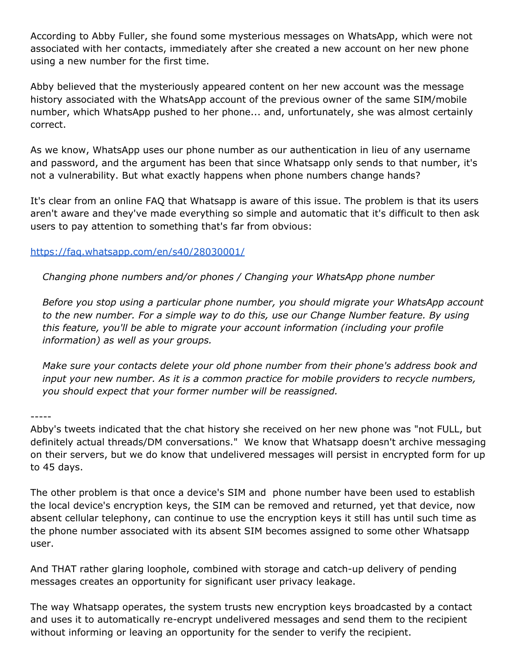According to Abby Fuller, she found some mysterious messages on WhatsApp, which were not associated with her contacts, immediately after she created a new account on her new phone using a new number for the first time.

Abby believed that the mysteriously appeared content on her new account was the message history associated with the WhatsApp account of the previous owner of the same SIM/mobile number, which WhatsApp pushed to her phone... and, unfortunately, she was almost certainly correct.

As we know, WhatsApp uses our phone number as our authentication in lieu of any username and password, and the argument has been that since Whatsapp only sends to that number, it's not a vulnerability. But what exactly happens when phone numbers change hands?

It's clear from an online FAQ that Whatsapp is aware of this issue. The problem is that its users aren't aware and they've made everything so simple and automatic that it's difficult to then ask users to pay attention to something that's far from obvious:

### <https://faq.whatsapp.com/en/s40/28030001/>

*Changing phone numbers and/or phones / Changing your WhatsApp phone number*

*Before you stop using a particular phone number, you should migrate your WhatsApp account to the new number. For a simple way to do this, use our Change Number feature. By using this feature, you'll be able to migrate your account information (including your profile information) as well as your groups.*

*Make sure your contacts delete your old phone number from their phone's address book and input your new number. As it is a common practice for mobile providers to recycle numbers, you should expect that your former number will be reassigned.*

-----

Abby's tweets indicated that the chat history she received on her new phone was "not FULL, but definitely actual threads/DM conversations." We know that Whatsapp doesn't archive messaging on their servers, but we do know that undelivered messages will persist in encrypted form for up to 45 days.

The other problem is that once a device's SIM and phone number have been used to establish the local device's encryption keys, the SIM can be removed and returned, yet that device, now absent cellular telephony, can continue to use the encryption keys it still has until such time as the phone number associated with its absent SIM becomes assigned to some other Whatsapp user.

And THAT rather glaring loophole, combined with storage and catch-up delivery of pending messages creates an opportunity for significant user privacy leakage.

The way Whatsapp operates, the system trusts new encryption keys broadcasted by a contact and uses it to automatically re-encrypt undelivered messages and send them to the recipient without informing or leaving an opportunity for the sender to verify the recipient.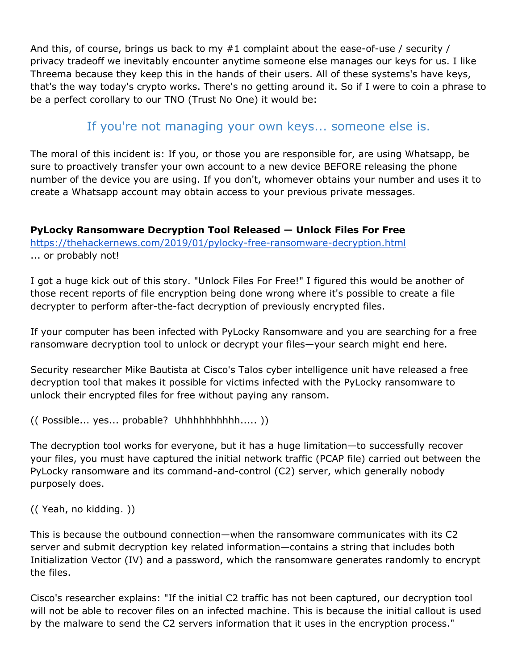And this, of course, brings us back to my #1 complaint about the ease-of-use / security / privacy tradeoff we inevitably encounter anytime someone else manages our keys for us. I like Threema because they keep this in the hands of their users. All of these systems's have keys, that's the way today's crypto works. There's no getting around it. So if I were to coin a phrase to be a perfect corollary to our TNO (Trust No One) it would be:

# If you're not managing your own keys... someone else is.

The moral of this incident is: If you, or those you are responsible for, are using Whatsapp, be sure to proactively transfer your own account to a new device BEFORE releasing the phone number of the device you are using. If you don't, whomever obtains your number and uses it to create a Whatsapp account may obtain access to your previous private messages.

**PyLocky Ransomware Decryption Tool Released — Unlock Files For Free** <https://thehackernews.com/2019/01/pylocky-free-ransomware-decryption.html> ... or probably not!

I got a huge kick out of this story. "Unlock Files For Free!" I figured this would be another of those recent reports of file encryption being done wrong where it's possible to create a file decrypter to perform after-the-fact decryption of previously encrypted files.

If your computer has been infected with PyLocky Ransomware and you are searching for a free ransomware decryption tool to unlock or decrypt your files—your search might end here.

Security researcher Mike Bautista at Cisco's Talos cyber intelligence unit have released a free decryption tool that makes it possible for victims infected with the PyLocky ransomware to unlock their encrypted files for free without paying any ransom.

(( Possible... yes... probable? Uhhhhhhhhhh..... ))

The decryption tool works for everyone, but it has a huge limitation—to successfully recover your files, you must have captured the initial network traffic (PCAP file) carried out between the PyLocky ransomware and its command-and-control (C2) server, which generally nobody purposely does.

(( Yeah, no kidding. ))

This is because the outbound connection—when the ransomware communicates with its C2 server and submit decryption key related information—contains a string that includes both Initialization Vector (IV) and a password, which the ransomware generates randomly to encrypt the files.

Cisco's researcher explains: "If the initial C2 traffic has not been captured, our decryption tool will not be able to recover files on an infected machine. This is because the initial callout is used by the malware to send the C2 servers information that it uses in the encryption process."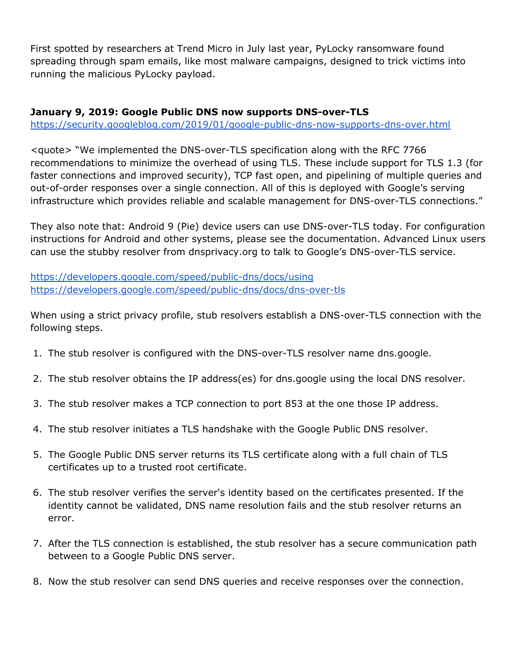First spotted by researchers at Trend Micro in July last year, PyLocky ransomware found spreading through spam emails, like most malware campaigns, designed to trick victims into running the malicious PyLocky payload.

### **January 9, 2019: Google Public DNS now supports DNS-over-TLS**

<https://security.googleblog.com/2019/01/google-public-dns-now-supports-dns-over.html>

<quote> "We implemented the DNS-over-TLS specification along with the RFC 7766 recommendations to minimize the overhead of using TLS. These include support for TLS 1.3 (for faster connections and improved security), TCP fast open, and pipelining of multiple queries and out-of-order responses over a single connection. All of this is deployed with Google's serving infrastructure which provides reliable and scalable management for DNS-over-TLS connections."

They also note that: Android 9 (Pie) device users can use DNS-over-TLS today. For configuration instructions for Android and other systems, please see the documentation. Advanced Linux users can use the stubby resolver from dnsprivacy.org to talk to Google's DNS-over-TLS service.

<https://developers.google.com/speed/public-dns/docs/using> <https://developers.google.com/speed/public-dns/docs/dns-over-tls>

When using a strict privacy profile, stub resolvers establish a DNS-over-TLS connection with the following steps.

- 1. The stub resolver is configured with the DNS-over-TLS resolver name dns.google.
- 2. The stub resolver obtains the IP address(es) for dns.google using the local DNS resolver.
- 3. The stub resolver makes a TCP connection to port 853 at the one those IP address.
- 4. The stub resolver initiates a TLS handshake with the Google Public DNS resolver.
- 5. The Google Public DNS server returns its TLS certificate along with a full chain of TLS certificates up to a trusted root certificate.
- 6. The stub resolver verifies the server's identity based on the certificates presented. If the identity cannot be validated, DNS name resolution fails and the stub resolver returns an error.
- 7. After the TLS connection is established, the stub resolver has a secure communication path between to a Google Public DNS server.
- 8. Now the stub resolver can send DNS queries and receive responses over the connection.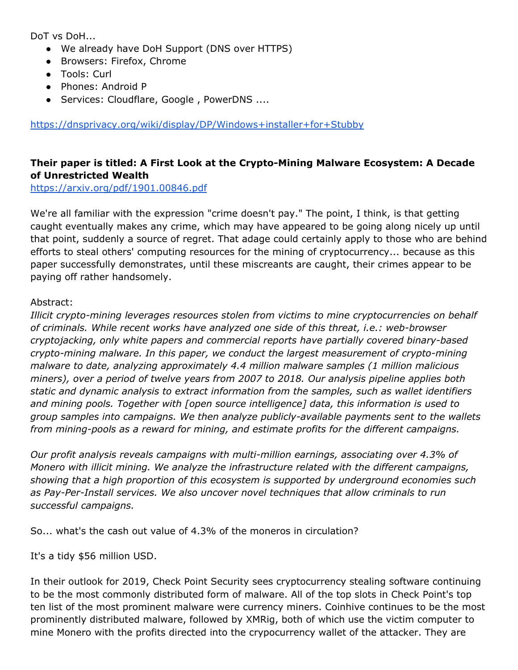DoT vs DoH...

- We already have DoH Support (DNS over HTTPS)
- Browsers: Firefox, Chrome
- Tools: Curl
- Phones: Android P
- Services: Cloudflare, Google , PowerDNS ....

<https://dnsprivacy.org/wiki/display/DP/Windows+installer+for+Stubby>

### **Their paper is titled: A First Look at the Crypto-Mining Malware Ecosystem: A Decade of Unrestricted Wealth**

<https://arxiv.org/pdf/1901.00846.pdf>

We're all familiar with the expression "crime doesn't pay." The point, I think, is that getting caught eventually makes any crime, which may have appeared to be going along nicely up until that point, suddenly a source of regret. That adage could certainly apply to those who are behind efforts to steal others' computing resources for the mining of cryptocurrency... because as this paper successfully demonstrates, until these miscreants are caught, their crimes appear to be paying off rather handsomely.

### Abstract:

*Illicit crypto-mining leverages resources stolen from victims to mine cryptocurrencies on behalf of criminals. While recent works have analyzed one side of this threat, i.e.: web-browser cryptojacking, only white papers and commercial reports have partially covered binary-based crypto-mining malware. In this paper, we conduct the largest measurement of crypto-mining malware to date, analyzing approximately 4.4 million malware samples (1 million malicious miners), over a period of twelve years from 2007 to 2018. Our analysis pipeline applies both static and dynamic analysis to extract information from the samples, such as wallet identifiers and mining pools. Together with [open source intelligence] data, this information is used to group samples into campaigns. We then analyze publicly-available payments sent to the wallets from mining-pools as a reward for mining, and estimate profits for the different campaigns.*

*Our profit analysis reveals campaigns with multi-million earnings, associating over 4.3% of Monero with illicit mining. We analyze the infrastructure related with the different campaigns, showing that a high proportion of this ecosystem is supported by underground economies such as Pay-Per-Install services. We also uncover novel techniques that allow criminals to run successful campaigns.*

So... what's the cash out value of 4.3% of the moneros in circulation?

It's a tidy \$56 million USD.

In their outlook for 2019, Check Point Security sees cryptocurrency stealing software continuing to be the most commonly distributed form of malware. All of the top slots in Check Point's top ten list of the most prominent malware were currency miners. Coinhive continues to be the most prominently distributed malware, followed by XMRig, both of which use the victim computer to mine Monero with the profits directed into the crypocurrency wallet of the attacker. They are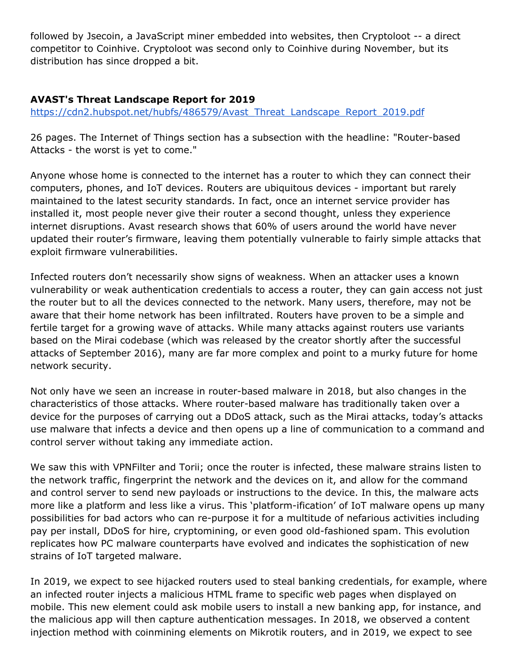followed by Jsecoin, a JavaScript miner embedded into websites, then Cryptoloot -- a direct competitor to Coinhive. Cryptoloot was second only to Coinhive during November, but its distribution has since dropped a bit.

### **AVAST's Threat Landscape Report for 2019**

[https://cdn2.hubspot.net/hubfs/486579/Avast\\_Threat\\_Landscape\\_Report\\_2019.pdf](https://cdn2.hubspot.net/hubfs/486579/Avast_Threat_Landscape_Report_2019.pdf)

26 pages. The Internet of Things section has a subsection with the headline: "Router-based Attacks - the worst is yet to come."

Anyone whose home is connected to the internet has a router to which they can connect their computers, phones, and IoT devices. Routers are ubiquitous devices - important but rarely maintained to the latest security standards. In fact, once an internet service provider has installed it, most people never give their router a second thought, unless they experience internet disruptions. Avast research shows that 60% of users around the world have never updated their router's firmware, leaving them potentially vulnerable to fairly simple attacks that exploit firmware vulnerabilities.

Infected routers don't necessarily show signs of weakness. When an attacker uses a known vulnerability or weak authentication credentials to access a router, they can gain access not just the router but to all the devices connected to the network. Many users, therefore, may not be aware that their home network has been infiltrated. Routers have proven to be a simple and fertile target for a growing wave of attacks. While many attacks against routers use variants based on the Mirai codebase (which was released by the creator shortly after the successful attacks of September 2016), many are far more complex and point to a murky future for home network security.

Not only have we seen an increase in router-based malware in 2018, but also changes in the characteristics of those attacks. Where router-based malware has traditionally taken over a device for the purposes of carrying out a DDoS attack, such as the Mirai attacks, today's attacks use malware that infects a device and then opens up a line of communication to a command and control server without taking any immediate action.

We saw this with VPNFilter and Torii; once the router is infected, these malware strains listen to the network traffic, fingerprint the network and the devices on it, and allow for the command and control server to send new payloads or instructions to the device. In this, the malware acts more like a platform and less like a virus. This 'platform-ification' of IoT malware opens up many possibilities for bad actors who can re-purpose it for a multitude of nefarious activities including pay per install, DDoS for hire, cryptomining, or even good old-fashioned spam. This evolution replicates how PC malware counterparts have evolved and indicates the sophistication of new strains of IoT targeted malware.

In 2019, we expect to see hijacked routers used to steal banking credentials, for example, where an infected router injects a malicious HTML frame to specific web pages when displayed on mobile. This new element could ask mobile users to install a new banking app, for instance, and the malicious app will then capture authentication messages. In 2018, we observed a content injection method with coinmining elements on Mikrotik routers, and in 2019, we expect to see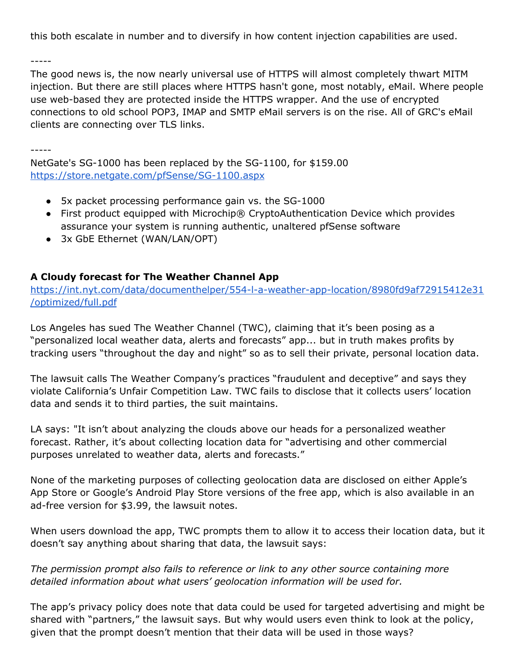this both escalate in number and to diversify in how content injection capabilities are used.

-----

The good news is, the now nearly universal use of HTTPS will almost completely thwart MITM injection. But there are still places where HTTPS hasn't gone, most notably, eMail. Where people use web-based they are protected inside the HTTPS wrapper. And the use of encrypted connections to old school POP3, IMAP and SMTP eMail servers is on the rise. All of GRC's eMail clients are connecting over TLS links.

-----

NetGate's SG-1000 has been replaced by the SG-1100, for \$159.00 <https://store.netgate.com/pfSense/SG-1100.aspx>

- 5x packet processing performance gain vs. the SG-1000
- First product equipped with Microchip® CryptoAuthentication Device which provides assurance your system is running authentic, unaltered pfSense software
- 3x GbE Ethernet (WAN/LAN/OPT)

### **A Cloudy forecast for The Weather Channel App**

[https://int.nyt.com/data/documenthelper/554-l-a-weather-app-location/8980fd9af72915412e31](https://int.nyt.com/data/documenthelper/554-l-a-weather-app-location/8980fd9af72915412e31/optimized/full.pdf) [/optimized/full.pdf](https://int.nyt.com/data/documenthelper/554-l-a-weather-app-location/8980fd9af72915412e31/optimized/full.pdf)

Los Angeles has sued The Weather Channel (TWC), claiming that it's been posing as a "personalized local weather data, alerts and forecasts" app... but in truth makes profits by tracking users "throughout the day and night" so as to sell their private, personal location data.

The lawsuit calls The Weather Company's practices "fraudulent and deceptive" and says they violate California's Unfair Competition Law. TWC fails to disclose that it collects users' location data and sends it to third parties, the suit maintains.

LA says: "It isn't about analyzing the clouds above our heads for a personalized weather forecast. Rather, it's about collecting location data for "advertising and other commercial purposes unrelated to weather data, alerts and forecasts."

None of the marketing purposes of collecting geolocation data are disclosed on either Apple's App Store or Google's Android Play Store versions of the free app, which is also available in an ad-free version for \$3.99, the lawsuit notes.

When users download the app, TWC prompts them to allow it to access their location data, but it doesn't say anything about sharing that data, the lawsuit says:

*The permission prompt also fails to reference or link to any other source containing more detailed information about what users' geolocation information will be used for.*

The app's privacy policy does note that data could be used for targeted advertising and might be shared with "partners," the lawsuit says. But why would users even think to look at the policy, given that the prompt doesn't mention that their data will be used in those ways?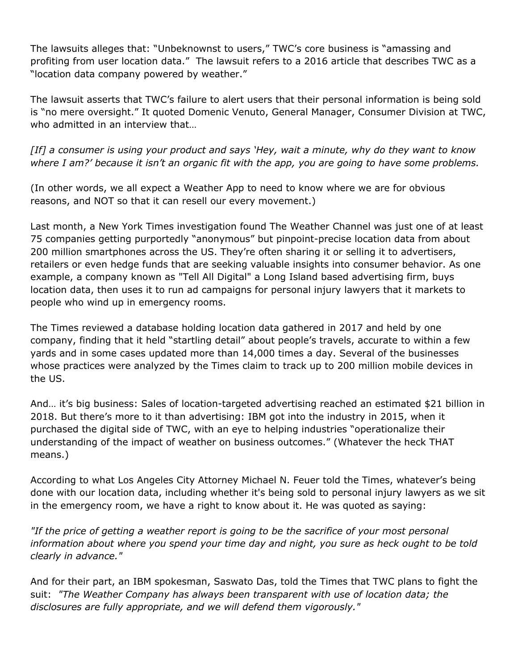The lawsuits alleges that: "Unbeknownst to users," TWC's core business is "amassing and profiting from user location data." The lawsuit refers to a 2016 article that describes TWC as a "location data company powered by weather."

The lawsuit asserts that TWC's failure to alert users that their personal information is being sold is "no mere oversight." It quoted Domenic Venuto, General Manager, Consumer Division at TWC, who admitted in an interview that…

[If] a consumer is using your product and says 'Hey, wait a minute, why do they want to know where I am?' because it isn't an organic fit with the app, you are going to have some problems.

(In other words, we all expect a Weather App to need to know where we are for obvious reasons, and NOT so that it can resell our every movement.)

Last month, a New York Times investigation found The Weather Channel was just one of at least 75 companies getting purportedly "anonymous" but pinpoint-precise location data from about 200 million smartphones across the US. They're often sharing it or selling it to advertisers, retailers or even hedge funds that are seeking valuable insights into consumer behavior. As one example, a company known as "Tell All Digital" a Long Island based advertising firm, buys location data, then uses it to run ad campaigns for personal injury lawyers that it markets to people who wind up in emergency rooms.

The Times reviewed a database holding location data gathered in 2017 and held by one company, finding that it held "startling detail" about people's travels, accurate to within a few yards and in some cases updated more than 14,000 times a day. Several of the businesses whose practices were analyzed by the Times claim to track up to 200 million mobile devices in the US.

And… it's big business: Sales of location-targeted advertising reached an estimated \$21 billion in 2018. But there's more to it than advertising: IBM got into the industry in 2015, when it purchased the digital side of TWC, with an eye to helping industries "operationalize their understanding of the impact of weather on business outcomes." (Whatever the heck THAT means.)

According to what Los Angeles City Attorney Michael N. Feuer told the Times, whatever's being done with our location data, including whether it's being sold to personal injury lawyers as we sit in the emergency room, we have a right to know about it. He was quoted as saying:

*"If the price of getting a weather report is going to be the sacrifice of your most personal information about where you spend your time day and night, you sure as heck ought to be told clearly in advance."*

And for their part, an IBM spokesman, Saswato Das, told the Times that TWC plans to fight the suit: *"The Weather Company has always been transparent with use of location data; the disclosures are fully appropriate, and we will defend them vigorously."*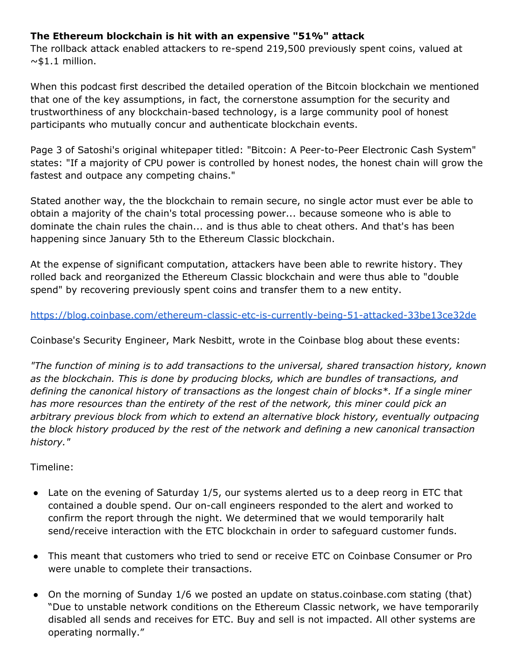### **The Ethereum blockchain is hit with an expensive "51%" attack**

The rollback attack enabled attackers to re-spend 219,500 previously spent coins, valued at  $~\sim$ \$1.1 million.

When this podcast first described the detailed operation of the Bitcoin blockchain we mentioned that one of the key assumptions, in fact, the cornerstone assumption for the security and trustworthiness of any blockchain-based technology, is a large community pool of honest participants who mutually concur and authenticate blockchain events.

Page 3 of Satoshi's original whitepaper titled: "Bitcoin: A Peer-to-Peer Electronic Cash System" states: "If a majority of CPU power is controlled by honest nodes, the honest chain will grow the fastest and outpace any competing chains."

Stated another way, the the blockchain to remain secure, no single actor must ever be able to obtain a majority of the chain's total processing power... because someone who is able to dominate the chain rules the chain... and is thus able to cheat others. And that's has been happening since January 5th to the Ethereum Classic blockchain.

At the expense of significant computation, attackers have been able to rewrite history. They rolled back and reorganized the Ethereum Classic blockchain and were thus able to "double spend" by recovering previously spent coins and transfer them to a new entity.

<https://blog.coinbase.com/ethereum-classic-etc-is-currently-being-51-attacked-33be13ce32de>

Coinbase's Security Engineer, Mark Nesbitt, wrote in the Coinbase blog about these events:

*"The function of mining is to add transactions to the universal, shared transaction history, known as the blockchain. This is done by producing blocks, which are bundles of transactions, and defining the canonical history of transactions as the longest chain of blocks\*. If a single miner has more resources than the entirety of the rest of the network, this miner could pick an arbitrary previous block from which to extend an alternative block history, eventually outpacing the block history produced by the rest of the network and defining a new canonical transaction history."*

Timeline:

- Late on the evening of Saturday 1/5, our systems alerted us to a deep reorg in ETC that contained a double spend. Our on-call engineers responded to the alert and worked to confirm the report through the night. We determined that we would temporarily halt send/receive interaction with the ETC blockchain in order to safeguard customer funds.
- This meant that customers who tried to send or receive ETC on Coinbase Consumer or Pro were unable to complete their transactions.
- On the morning of Sunday 1/6 we posted an update on status.coinbase.com stating (that) "Due to unstable network conditions on the Ethereum Classic network, we have temporarily disabled all sends and receives for ETC. Buy and sell is not impacted. All other systems are operating normally."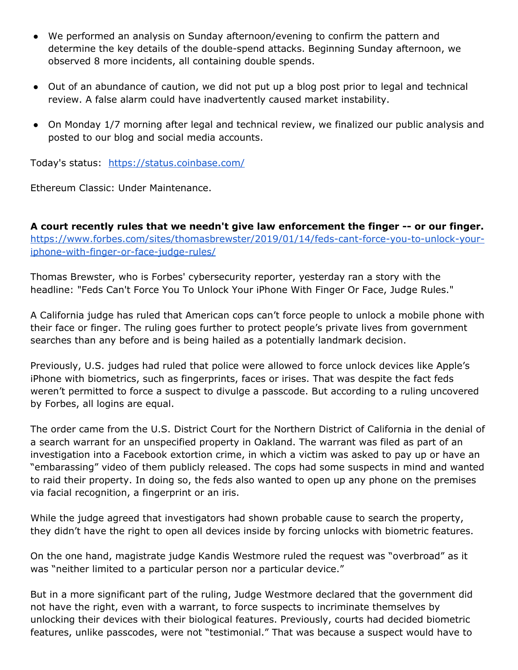- We performed an analysis on Sunday afternoon/evening to confirm the pattern and determine the key details of the double-spend attacks. Beginning Sunday afternoon, we observed 8 more incidents, all containing double spends.
- Out of an abundance of caution, we did not put up a blog post prior to legal and technical review. A false alarm could have inadvertently caused market instability.
- On Monday 1/7 morning after legal and technical review, we finalized our public analysis and posted to our blog and social media accounts.

Today's status: <https://status.coinbase.com/>

Ethereum Classic: Under Maintenance.

**A court recently rules that we needn't give law enforcement the finger -- or our finger.** [https://www.forbes.com/sites/thomasbrewster/2019/01/14/feds-cant-force-you-to-unlock-your](https://www.forbes.com/sites/thomasbrewster/2019/01/14/feds-cant-force-you-to-unlock-your-iphone-with-finger-or-face-judge-rules/)[iphone-with-finger-or-face-judge-rules/](https://www.forbes.com/sites/thomasbrewster/2019/01/14/feds-cant-force-you-to-unlock-your-iphone-with-finger-or-face-judge-rules/)

Thomas Brewster, who is Forbes' cybersecurity reporter, yesterday ran a story with the headline: "Feds Can't Force You To Unlock Your iPhone With Finger Or Face, Judge Rules."

A California judge has ruled that American cops can't force people to unlock a mobile phone with their face or finger. The ruling goes further to protect people's private lives from government searches than any before and is being hailed as a potentially landmark decision.

Previously, U.S. judges had ruled that police were allowed to force unlock devices like Apple's iPhone with biometrics, such as fingerprints, faces or irises. That was despite the fact feds weren't permitted to force a suspect to divulge a passcode. But according to a ruling uncovered by Forbes, all logins are equal.

The order came from the U.S. District Court for the Northern District of California in the denial of a search warrant for an unspecified property in Oakland. The warrant was filed as part of an investigation into a Facebook extortion crime, in which a victim was asked to pay up or have an "embarassing" video of them publicly released. The cops had some suspects in mind and wanted to raid their property. In doing so, the feds also wanted to open up any phone on the premises via facial recognition, a fingerprint or an iris.

While the judge agreed that investigators had shown probable cause to search the property, they didn't have the right to open all devices inside by forcing unlocks with biometric features.

On the one hand, magistrate judge Kandis Westmore ruled the request was "overbroad" as it was "neither limited to a particular person nor a particular device."

But in a more significant part of the ruling, Judge Westmore declared that the government did not have the right, even with a warrant, to force suspects to incriminate themselves by unlocking their devices with their biological features. Previously, courts had decided biometric features, unlike passcodes, were not "testimonial." That was because a suspect would have to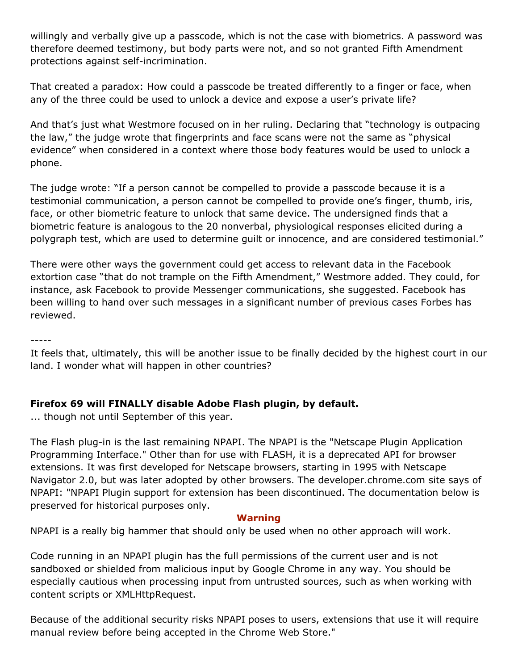willingly and verbally give up a passcode, which is not the case with biometrics. A password was therefore deemed testimony, but body parts were not, and so not granted Fifth Amendment protections against self-incrimination.

That created a paradox: How could a passcode be treated differently to a finger or face, when any of the three could be used to unlock a device and expose a user's private life?

And that's just what Westmore focused on in her ruling. Declaring that "technology is outpacing the law," the judge wrote that fingerprints and face scans were not the same as "physical evidence" when considered in a context where those body features would be used to unlock a phone.

The judge wrote: "If a person cannot be compelled to provide a passcode because it is a testimonial communication, a person cannot be compelled to provide one's finger, thumb, iris, face, or other biometric feature to unlock that same device. The undersigned finds that a biometric feature is analogous to the 20 nonverbal, physiological responses elicited during a polygraph test, which are used to determine guilt or innocence, and are considered testimonial."

There were other ways the government could get access to relevant data in the Facebook extortion case "that do not trample on the Fifth Amendment," Westmore added. They could, for instance, ask Facebook to provide Messenger communications, she suggested. Facebook has been willing to hand over such messages in a significant number of previous cases Forbes has reviewed.

-----

It feels that, ultimately, this will be another issue to be finally decided by the highest court in our land. I wonder what will happen in other countries?

### **Firefox 69 will FINALLY disable Adobe Flash plugin, by default.**

... though not until September of this year.

The Flash plug-in is the last remaining NPAPI. The NPAPI is the "Netscape Plugin Application Programming Interface." Other than for use with FLASH, it is a deprecated API for browser extensions. It was first developed for Netscape browsers, starting in 1995 with Netscape Navigator 2.0, but was later adopted by other browsers. The developer.chrome.com site says of NPAPI: "NPAPI Plugin support for extension has been discontinued. The documentation below is preserved for historical purposes only.

#### **Warning**

NPAPI is a really big hammer that should only be used when no other approach will work.

Code running in an NPAPI plugin has the full permissions of the current user and is not sandboxed or shielded from malicious input by Google Chrome in any way. You should be especially cautious when processing input from untrusted sources, such as when working with content scripts or XMLHttpRequest.

Because of the additional security risks NPAPI poses to users, extensions that use it will require manual review before being accepted in the Chrome Web Store."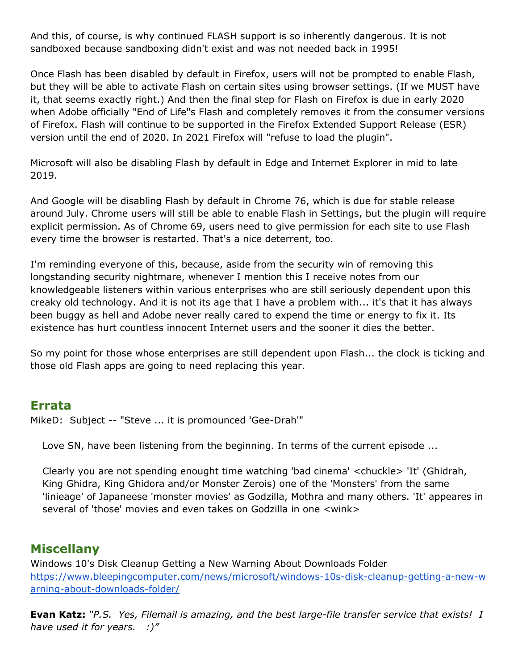And this, of course, is why continued FLASH support is so inherently dangerous. It is not sandboxed because sandboxing didn't exist and was not needed back in 1995!

Once Flash has been disabled by default in Firefox, users will not be prompted to enable Flash, but they will be able to activate Flash on certain sites using browser settings. (If we MUST have it, that seems exactly right.) And then the final step for Flash on Firefox is due in early 2020 when Adobe officially "End of Life"s Flash and completely removes it from the consumer versions of Firefox. Flash will continue to be supported in the Firefox Extended Support Release (ESR) version until the end of 2020. In 2021 Firefox will "refuse to load the plugin".

Microsoft will also be disabling Flash by default in Edge and Internet Explorer in mid to late 2019.

And Google will be disabling Flash by default in Chrome 76, which is due for stable release around July. Chrome users will still be able to enable Flash in Settings, but the plugin will require explicit permission. As of Chrome 69, users need to give permission for each site to use Flash every time the browser is restarted. That's a nice deterrent, too.

I'm reminding everyone of this, because, aside from the security win of removing this longstanding security nightmare, whenever I mention this I receive notes from our knowledgeable listeners within various enterprises who are still seriously dependent upon this creaky old technology. And it is not its age that I have a problem with... it's that it has always been buggy as hell and Adobe never really cared to expend the time or energy to fix it. Its existence has hurt countless innocent Internet users and the sooner it dies the better.

So my point for those whose enterprises are still dependent upon Flash... the clock is ticking and those old Flash apps are going to need replacing this year.

### **Errata**

MikeD: Subject -- "Steve ... it is promounced 'Gee-Drah'"

Love SN, have been listening from the beginning. In terms of the current episode ...

Clearly you are not spending enought time watching 'bad cinema' <chuckle> 'It' (Ghidrah, King Ghidra, King Ghidora and/or Monster Zerois) one of the 'Monsters' from the same 'linieage' of Japaneese 'monster movies' as Godzilla, Mothra and many others. 'It' appeares in several of 'those' movies and even takes on Godzilla in one <wink>

## **Miscellany**

Windows 10's Disk Cleanup Getting a New Warning About Downloads Folder [https://www.bleepingcomputer.com/news/microsoft/windows-10s-disk-cleanup-getting-a-new-w](https://www.bleepingcomputer.com/news/microsoft/windows-10s-disk-cleanup-getting-a-new-warning-about-downloads-folder/) [arning-about-downloads-folder/](https://www.bleepingcomputer.com/news/microsoft/windows-10s-disk-cleanup-getting-a-new-warning-about-downloads-folder/)

**Evan Katz:** *"P.S. Yes, Filemail is amazing, and the best large-file transfer service that exists! I have used it for years. :)"*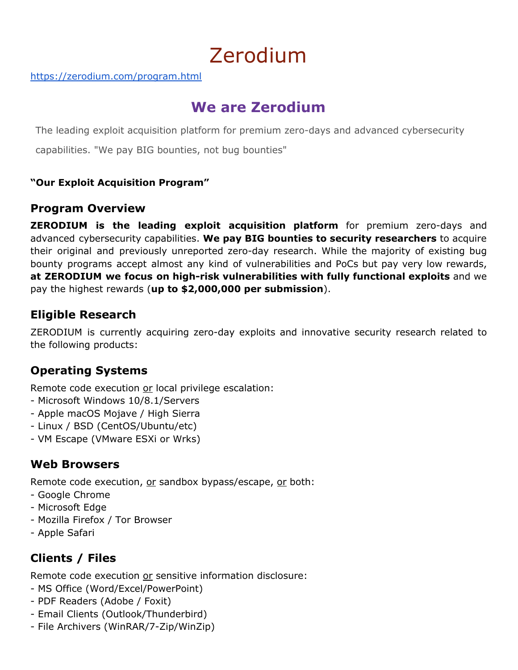# Zerodium

<https://zerodium.com/program.html>

# **We are Zerodium**

The leading exploit acquisition platform for premium zero-days and advanced cybersecurity

capabilities. "We pay BIG bounties, not bug bounties"

### **"Our Exploit Acquisition Program"**

### **Program Overview**

**ZERODIUM is the leading exploit acquisition platform** for premium zero-days and advanced cybersecurity capabilities. **We pay BIG bounties to security researchers** to acquire their original and previously unreported zero-day research. While the majority of existing bug bounty programs accept almost any kind of vulnerabilities and PoCs but pay very low rewards, **at ZERODIUM we focus on high-risk vulnerabilities with fully functional exploits** and we pay the highest rewards (**up to \$2,000,000 per submission**).

## **Eligible Research**

ZERODIUM is currently acquiring zero-day exploits and innovative security research related to the following products:

## **Operating Systems**

Remote code execution or local privilege escalation:

- Microsoft Windows 10/8.1/Servers
- Apple macOS Mojave / High Sierra
- Linux / BSD (CentOS/Ubuntu/etc)
- VM Escape (VMware ESXi or Wrks)

## **Web Browsers**

Remote code execution, or sandbox bypass/escape, or both:

- Google Chrome
- Microsoft Edge
- Mozilla Firefox / Tor Browser
- Apple Safari

# **Clients / Files**

Remote code execution or sensitive information disclosure:

- MS Office (Word/Excel/PowerPoint)
- PDF Readers (Adobe / Foxit)
- Email Clients (Outlook/Thunderbird)
- File Archivers (WinRAR/7-Zip/WinZip)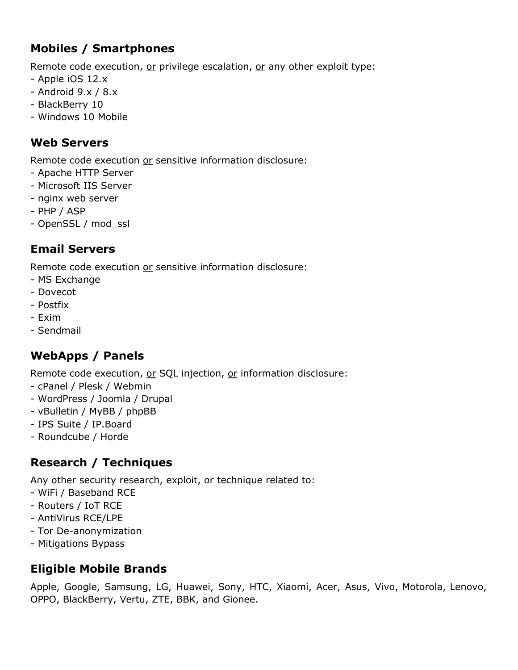# **Mobiles / Smartphones**

Remote code execution, or privilege escalation, or any other exploit type:

- Apple iOS 12.x
- Android 9.x / 8.x
- BlackBerry 10
- Windows 10 Mobile

# **Web Servers**

Remote code execution or sensitive information disclosure:

- Apache HTTP Server
- Microsoft IIS Server
- nginx web server
- PHP / ASP
- OpenSSL / mod\_ssl

# **Email Servers**

Remote code execution or sensitive information disclosure:

- MS Exchange
- Dovecot
- Postfix
- Exim
- Sendmail

# **WebApps / Panels**

Remote code execution, or SQL injection, or information disclosure:

- cPanel / Plesk / Webmin
- WordPress / Joomla / Drupal
- vBulletin / MyBB / phpBB
- IPS Suite / IP.Board
- Roundcube / Horde

# **Research / Techniques**

Any other security research, exploit, or technique related to:

- WiFi / Baseband RCE
- Routers / IoT RCE
- AntiVirus RCE/LPE
- Tor De-anonymization
- Mitigations Bypass

# **Eligible Mobile Brands**

Apple, Google, Samsung, LG, Huawei, Sony, HTC, Xiaomi, Acer, Asus, Vivo, Motorola, Lenovo, OPPO, BlackBerry, Vertu, ZTE, BBK, and Gionee.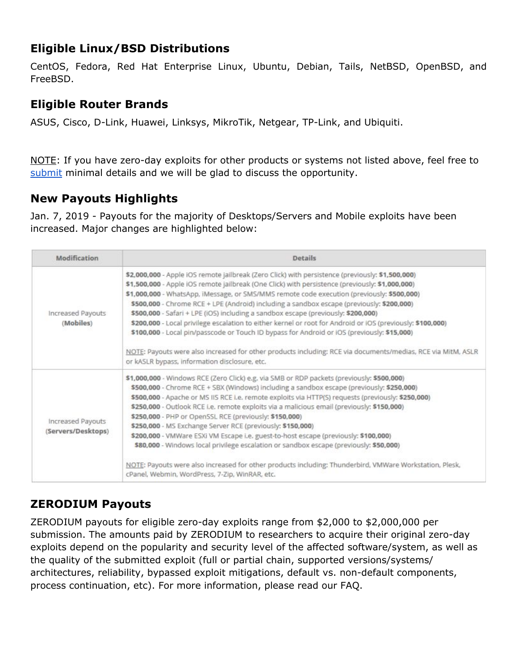# **Eligible Linux/BSD Distributions**

CentOS, Fedora, Red Hat Enterprise Linux, Ubuntu, Debian, Tails, NetBSD, OpenBSD, and FreeBSD.

## **Eligible Router Brands**

ASUS, Cisco, D-Link, Huawei, Linksys, MikroTik, Netgear, TP-Link, and Ubiquiti.

NOTE: If you have zero-day exploits for other products or systems not listed above, feel free t[o](https://zerodium.com/submit.html) [submit](https://zerodium.com/submit.html) minimal details and we will be glad to discuss the opportunity.

# **New Payouts Highlights**

Jan. 7, 2019 - Payouts for the majority of Desktops/Servers and Mobile exploits have been increased. Major changes are highlighted below:

| Modification                            | <b>Details</b>                                                                                                                                                                                                                                                                                                                                                                                                                                                                                                                                                                                                                                                                                                                                                                                                                                                    |  |  |  |
|-----------------------------------------|-------------------------------------------------------------------------------------------------------------------------------------------------------------------------------------------------------------------------------------------------------------------------------------------------------------------------------------------------------------------------------------------------------------------------------------------------------------------------------------------------------------------------------------------------------------------------------------------------------------------------------------------------------------------------------------------------------------------------------------------------------------------------------------------------------------------------------------------------------------------|--|--|--|
| Increased Payouts<br>(Mobiles)          | \$2,000,000 - Apple iOS remote jailbreak (Zero Click) with persistence (previously: \$1,500,000)<br>\$1,500,000 - Apple IOS remote jailbreak (One Click) with persistence (previously: \$1,000,000)<br>\$1,000,000 - WhatsApp, iMessage, or SMS/MMS remote code execution (previously: \$500,000)<br>\$500,000 - Chrome RCE + LPE (Android) including a sandbox escape (previously: \$200,000)<br>\$500,000 - Safari + LPE (iOS) including a sandbox escape (previously: \$200,000)<br>\$200,000 - Local privilege escalation to either kernel or root for Android or iOS (previously: \$100,000)<br>\$100,000 - Local pin/passcode or Touch ID bypass for Android or iOS (previously: \$15,000)<br>NOTE: Payouts were also increased for other products including: RCE via documents/medias, RCE via MitM, ASLR<br>or kASLR bypass, information disclosure, etc. |  |  |  |
| Increased Payouts<br>(Servers/Desktops) | \$1,000,000 - Windows RCE (Zero Click) e.g. via SMB or RDP packets (previously: \$500,000)<br>\$500,000 - Chrome RCE + SBX (Windows) including a sandbox escape (previously: \$250,000)<br>\$500,000 - Apache or MS IIS RCE i.e. remote exploits via HTTP(S) requests (previously: \$250,000)<br>\$250,000 - Outlook RCE i.e. remote exploits via a malicious email (previously: \$150,000)<br>\$250,000 - PHP or OpenSSL RCE (previously: \$150,000)<br>\$250,000 - MS Exchange Server RCE (previously: \$150,000)<br>\$200,000 - VMWare ESXi VM Escape i.e. guest-to-host escape (previously: \$100,000)<br>\$80,000 - Windows local privilege escalation or sandbox escape (previously: \$50,000)<br>NOTE: Payouts were also increased for other products including: Thunderbird, VMWare Workstation, Plesk,<br>cPanel, Webmin, WordPress, 7-Zip, WinRAR, etc. |  |  |  |

# **ZERODIUM Payouts**

ZERODIUM payouts for eligible zero-day exploits range from \$2,000 to \$2,000,000 per submission. The amounts paid by ZERODIUM to researchers to acquire their original zero-day exploits depend on the popularity and security level of the affected software/system, as well as the quality of the submitted exploit (full or partial chain, supported versions/systems/ architectures, reliability, bypassed exploit mitigations, default vs. non-default components, process continuation, etc). For more information, please read our FAQ.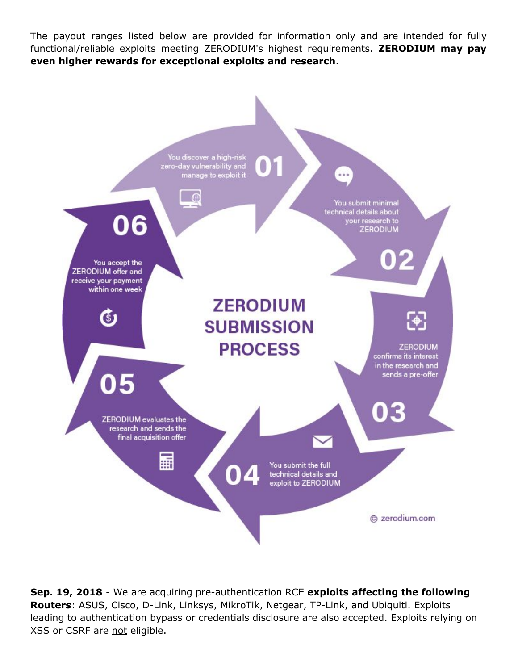The payout ranges listed below are provided for information only and are intended for fully functional/reliable exploits meeting ZERODIUM's highest requirements. **ZERODIUM may pay even higher rewards for exceptional exploits and research**.



**Sep. 19, 2018** - We are acquiring pre-authentication RCE **exploits affecting the following Routers**: ASUS, Cisco, D-Link, Linksys, MikroTik, Netgear, TP-Link, and Ubiquiti. Exploits leading to authentication bypass or credentials disclosure are also accepted. Exploits relying on XSS or CSRF are not eligible.